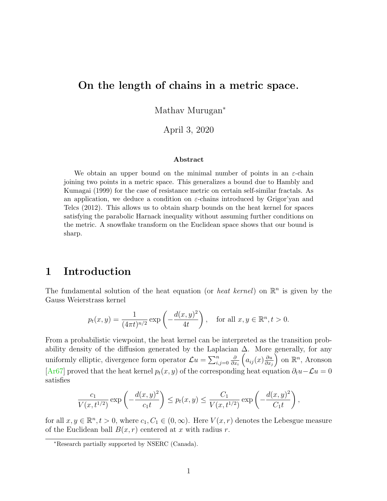### On the length of chains in a metric space.

Mathav Murugan<sup>∗</sup>

April 3, 2020

#### Abstract

We obtain an upper bound on the minimal number of points in an  $\varepsilon$ -chain joining two points in a metric space. This generalizes a bound due to Hambly and Kumagai (1999) for the case of resistance metric on certain self-similar fractals. As an application, we deduce a condition on  $\varepsilon$ -chains introduced by Grigor'yan and Telcs (2012). This allows us to obtain sharp bounds on the heat kernel for spaces satisfying the parabolic Harnack inequality without assuming further conditions on the metric. A snowflake transform on the Euclidean space shows that our bound is sharp.

## 1 Introduction

The fundamental solution of the heat equation (or *heat kernel*) on  $\mathbb{R}^n$  is given by the Gauss Weierstrass kernel

$$
p_t(x, y) = \frac{1}{(4\pi t)^{n/2}} \exp\left(-\frac{d(x, y)^2}{4t}\right)
$$
, for all  $x, y \in \mathbb{R}^n, t > 0$ .

From a probabilistic viewpoint, the heat kernel can be interpreted as the transition probability density of the diffusion generated by the Laplacian  $\Delta$ . More generally, for any uniformly elliptic, divergence form operator  $\mathcal{L}u = \sum_{i,j=0}^n$ ∂  $\partial x_i$  $\left(a_{ij}(x)\frac{\partial u}{\partial x}\right)$  $\partial x_j$ ) on  $\mathbb{R}^n$ , Aronson [\[Ar67\]](#page-15-0) proved that the heat kernel  $p_t(x, y)$  of the corresponding heat equation  $\partial_t u - \mathcal{L}u = 0$ satisfies

$$
\frac{c_1}{V(x,t^{1/2})} \exp\left(-\frac{d(x,y)^2}{c_1t}\right) \le p_t(x,y) \le \frac{C_1}{V(x,t^{1/2})} \exp\left(-\frac{d(x,y)^2}{C_1t}\right),
$$

for all  $x, y \in \mathbb{R}^n, t > 0$ , where  $c_1, C_1 \in (0, \infty)$ . Here  $V(x, r)$  denotes the Lebesgue measure of the Euclidean ball  $B(x, r)$  centered at x with radius r.

<sup>∗</sup>Research partially supported by NSERC (Canada).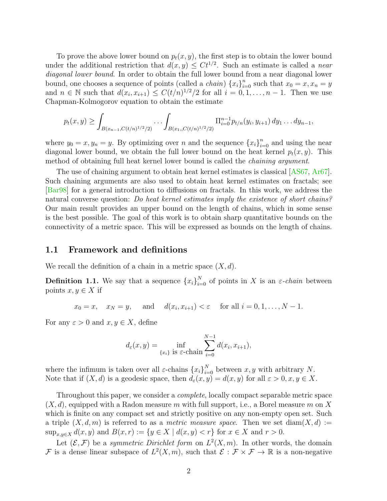To prove the above lower bound on  $p_t(x, y)$ , the first step is to obtain the lower bound under the additional restriction that  $d(x, y) \leq Ct^{1/2}$ . Such an estimate is called a *near* diagonal lower bound. In order to obtain the full lower bound from a near diagonal lower bound, one chooses a sequence of points (called a *chain*)  ${x_i}_{i=0}^n$  such that  $x_0 = x, x_n = y$ and  $n \in \mathbb{N}$  such that  $d(x_i, x_{i+1}) \leq C(t/n)^{1/2}/2$  for all  $i = 0, 1, \ldots, n-1$ . Then we use Chapman-Kolmogorov equation to obtain the estimate

$$
p_t(x,y) \geq \int_{B(x_{n-1},C(t/n)^{1/2}/2)} \cdots \int_{B(x_1,C(t/n)^{1/2}/2)} \prod_{i=0}^{n-1} p_{t/n}(y_i,y_{i+1}) dy_1 \ldots dy_{n-1},
$$

where  $y_0 = x, y_n = y$ . By optimizing over n and the sequence  $\{x_i\}_{i=0}^n$  and using the near diagonal lower bound, we obtain the full lower bound on the heat kernel  $p_t(x, y)$ . This method of obtaining full heat kernel lower bound is called the chaining argument.

The use of chaining argument to obtain heat kernel estimates is classical [\[AS67,](#page-15-1) [Ar67\]](#page-15-0). Such chaining arguments are also used to obtain heat kernel estimates on fractals; see [\[Bar98\]](#page-15-2) for a general introduction to diffusions on fractals. In this work, we address the natural converse question: Do heat kernel estimates imply the existence of short chains? Our main result provides an upper bound on the length of chains, which in some sense is the best possible. The goal of this work is to obtain sharp quantitative bounds on the connectivity of a metric space. This will be expressed as bounds on the length of chains.

#### 1.1 Framework and definitions

We recall the definition of a chain in a metric space  $(X, d)$ .

**Definition 1.1.** We say that a sequence  $\{x_i\}_{i=0}^N$  of points in X is an  $\varepsilon$ -chain between points  $x, y \in X$  if

$$
x_0 = x
$$
,  $x_N = y$ , and  $d(x_i, x_{i+1}) < \varepsilon$  for all  $i = 0, 1, ..., N - 1$ .

For any  $\varepsilon > 0$  and  $x, y \in X$ , define

$$
d_{\varepsilon}(x, y) = \inf_{\{x_i\}} \inf_{\text{is } \varepsilon \text{-chain}} \sum_{i=0}^{N-1} d(x_i, x_{i+1}),
$$

where the infimum is taken over all  $\varepsilon$ -chains  $\{x_i\}_{i=0}^N$  between  $x, y$  with arbitrary N. Note that if  $(X, d)$  is a geodesic space, then  $d_{\varepsilon}(x, y) = d(x, y)$  for all  $\varepsilon > 0, x, y \in X$ .

Throughout this paper, we consider a complete, locally compact separable metric space  $(X, d)$ , equipped with a Radon measure m with full support, i.e., a Borel measure m on X which is finite on any compact set and strictly positive on any non-empty open set. Such a triple  $(X, d, m)$  is referred to as a *metric measure space*. Then we set diam $(X, d) :=$  $\sup_{x,y\in X} d(x,y)$  and  $B(x,r) := \{y \in X \mid d(x,y) < r\}$  for  $x \in X$  and  $r > 0$ .

Let  $(\mathcal{E}, \mathcal{F})$  be a symmetric Dirichlet form on  $L^2(X, m)$ . In other words, the domain F is a dense linear subspace of  $L^2(X,m)$ , such that  $\mathcal{E}: \mathcal{F} \times \mathcal{F} \to \mathbb{R}$  is a non-negative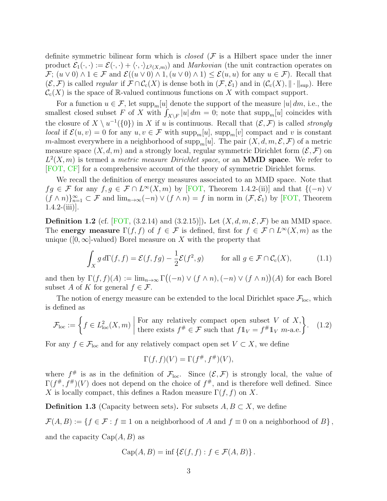definite symmetric bilinear form which is *closed*  $(F$  is a Hilbert space under the inner product  $\mathcal{E}_1(\cdot,\cdot) := \mathcal{E}(\cdot,\cdot) + \langle\cdot,\cdot\rangle_{L^2(X,m)}$  and *Markovian* (the unit contraction operates on  $\mathcal{F}$ ;  $(u \vee 0) \wedge 1 \in \mathcal{F}$  and  $\mathcal{E}((u \vee 0) \wedge 1, (u \vee 0) \wedge 1) \leq \mathcal{E}(u, u)$  for any  $u \in \mathcal{F}$ ). Recall that  $(\mathcal{E}, \mathcal{F})$  is called *regular* if  $\mathcal{F} \cap C_c(X)$  is dense both in  $(\mathcal{F}, \mathcal{E}_1)$  and in  $(\mathcal{C}_c(X), \|\cdot\|_{\text{sup}})$ . Here  $\mathcal{C}_{c}(X)$  is the space of R-valued continuous functions on X with compact support.

For a function  $u \in \mathcal{F}$ , let supp<sub>m</sub>[u] denote the support of the measure |u| dm, i.e., the smallest closed subset F of X with  $\int_{X\backslash F} |u| \, dm = 0$ ; note that supp<sub>m</sub>[u] coincides with the closure of  $X \setminus u^{-1}(\{0\})$  in X if u is continuous. Recall that  $(\mathcal{E}, \mathcal{F})$  is called strongly *local* if  $\mathcal{E}(u, v) = 0$  for any  $u, v \in \mathcal{F}$  with supp<sub>m</sub>[u], supp<sub>m</sub>[v] compact and v is constant m-almost everywhere in a neighborhood of supp<sub>m</sub>[u]. The pair  $(X, d, m, \mathcal{E}, \mathcal{F})$  of a metric measure space  $(X, d, m)$  and a strongly local, regular symmetric Dirichlet form  $(\mathcal{E}, \mathcal{F})$  on  $L^2(X, m)$  is termed a *metric measure Dirichlet space*, or an **MMD space**. We refer to [\[FOT,](#page-16-0) [CF\]](#page-16-1) for a comprehensive account of the theory of symmetric Dirichlet forms.

We recall the definition of energy measures associated to an MMD space. Note that  $fg \in \mathcal{F}$  for any  $f, g \in \mathcal{F} \cap L^{\infty}(X,m)$  by [\[FOT,](#page-16-0) Theorem 1.4.2-(ii)] and that  $\{(-n) \vee$  $(f \wedge n)$ <sub>n=1</sub>  $\subset \mathcal{F}$  and  $\lim_{n\to\infty} (-n) \vee (f \wedge n) = f$  in norm in  $(\mathcal{F}, \mathcal{E}_1)$  by [\[FOT,](#page-16-0) Theorem  $1.4.2-(iii)$ .

**Definition 1.2** (cf. [\[FOT,](#page-16-0)  $(3.2.14)$  and  $(3.2.15)$ ]). Let  $(X, d, m, \mathcal{E}, \mathcal{F})$  be an MMD space. The energy measure  $\Gamma(f, f)$  of  $f \in \mathcal{F}$  is defined, first for  $f \in \mathcal{F} \cap L^{\infty}(X, m)$  as the unique ([0,∞]-valued) Borel measure on X with the property that

$$
\int_X g \, d\Gamma(f, f) = \mathcal{E}(f, fg) - \frac{1}{2} \mathcal{E}(f^2, g) \qquad \text{for all } g \in \mathcal{F} \cap C_c(X), \tag{1.1}
$$

and then by  $\Gamma(f, f)(A) := \lim_{n \to \infty} \Gamma((-n) \vee (f \wedge n), (-n) \vee (f \wedge n))(A)$  for each Borel subset A of K for general  $f \in \mathcal{F}$ .

The notion of energy measure can be extended to the local Dirichlet space  $\mathcal{F}_{loc}$ , which is defined as

$$
\mathcal{F}_{\text{loc}} := \left\{ f \in L^2_{\text{loc}}(X, m) \mid \text{for any relatively compact open subset } V \text{ of } X, \atop \text{there exists } f^{\#} \in \mathcal{F} \text{ such that } f1_V = f^{\#}1_V \text{ } m\text{-a.e.} \right\}. \tag{1.2}
$$

For any  $f \in \mathcal{F}_{loc}$  and for any relatively compact open set  $V \subset X$ , we define

$$
\Gamma(f, f)(V) = \Gamma(f^{\#}, f^{\#})(V),
$$

where  $f^{\#}$  is as in the definition of  $\mathcal{F}_{loc}$ . Since  $(\mathcal{E}, \mathcal{F})$  is strongly local, the value of  $\Gamma(f^{\#}, f^{\#})(V)$  does not depend on the choice of  $f^{\#}$ , and is therefore well defined. Since X is locally compact, this defines a Radon measure  $\Gamma(f, f)$  on X.

**Definition 1.3** (Capacity between sets). For subsets  $A, B \subset X$ , we define

 $\mathcal{F}(A, B) := \{f \in \mathcal{F} : f \equiv 1 \text{ on a neighborhood of } A \text{ and } f \equiv 0 \text{ on a neighborhood of } B\},\$ and the capacity  $Cap(A, B)$  as

$$
\operatorname{Cap}(A, B) = \inf \{ \mathcal{E}(f, f) : f \in \mathcal{F}(A, B) \}.
$$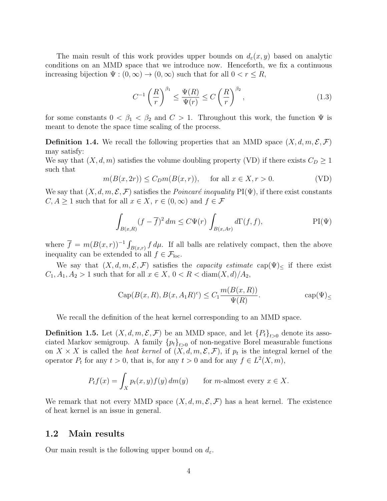The main result of this work provides upper bounds on  $d_{\varepsilon}(x, y)$  based on analytic conditions on an MMD space that we introduce now. Henceforth, we fix a continuous increasing bijection  $\Psi : (0, \infty) \to (0, \infty)$  such that for all  $0 < r \leq R$ ,

<span id="page-3-3"></span><span id="page-3-0"></span>
$$
C^{-1}\left(\frac{R}{r}\right)^{\beta_1} \le \frac{\Psi(R)}{\Psi(r)} \le C\left(\frac{R}{r}\right)^{\beta_2},\tag{1.3}
$$

for some constants  $0 < \beta_1 < \beta_2$  and  $C > 1$ . Throughout this work, the function  $\Psi$  is meant to denote the space time scaling of the process.

**Definition 1.4.** We recall the following properties that an MMD space  $(X, d, m, \mathcal{E}, \mathcal{F})$ may satisfy:

We say that  $(X, d, m)$  satisfies the volume doubling property (VD) if there exists  $C_D \geq 1$ such that

<span id="page-3-4"></span>
$$
m(B(x, 2r)) \le C_D m(B(x, r)), \quad \text{for all } x \in X, r > 0.
$$
 (VD)

We say that  $(X, d, m, \mathcal{E}, \mathcal{F})$  satisfies the *Poincaré inequality* PI( $\Psi$ ), if there exist constants  $C, A \geq 1$  such that for all  $x \in X, r \in (0, \infty)$  and  $f \in \mathcal{F}$ 

<span id="page-3-1"></span>
$$
\int_{B(x,R)} (f - \overline{f})^2 dm \le C\Psi(r) \int_{B(x,Ar)} d\Gamma(f,f),
$$
 PI(\Psi)

where  $\overline{f} = m(B(x,r))^{-1} \int_{B(x,r)} f d\mu$ . If all balls are relatively compact, then the above inequality can be extended to all  $f \in \mathcal{F}_{loc}$ .

We say that  $(X, d, m, \mathcal{E}, \mathcal{F})$  satisfies the *capacity estimate* cap( $\Psi$ )<sub><</sub> if there exist  $C_1, A_1, A_2 > 1$  such that for all  $x \in X$ ,  $0 < R < \text{diam}(X, d)/A_2$ ,

<span id="page-3-2"></span>
$$
Cap(B(x, R), B(x, A1R)c) \le C_1 \frac{m(B(x, R))}{\Psi(R)}.
$$
 cap $(\Psi)$ <sub>≤</sub>

We recall the definition of the heat kernel corresponding to an MMD space.

**Definition 1.5.** Let  $(X, d, m, \mathcal{E}, \mathcal{F})$  be an MMD space, and let  ${P_t}_{t>0}$  denote its associated Markov semigroup. A family  ${p_t}_{t>0}$  of non-negative Borel measurable functions on  $X \times X$  is called the *heat kernel* of  $(X, d, m, \mathcal{E}, \mathcal{F})$ , if  $p_t$  is the integral kernel of the operator  $P_t$  for any  $t > 0$ , that is, for any  $t > 0$  and for any  $f \in L^2(X, m)$ ,

$$
P_t f(x) = \int_X p_t(x, y) f(y) dm(y) \quad \text{for } m\text{-almost every } x \in X.
$$

We remark that not every MMD space  $(X, d, m, \mathcal{E}, \mathcal{F})$  has a heat kernel. The existence of heat kernel is an issue in general.

#### 1.2 Main results

Our main result is the following upper bound on  $d_{\varepsilon}$ .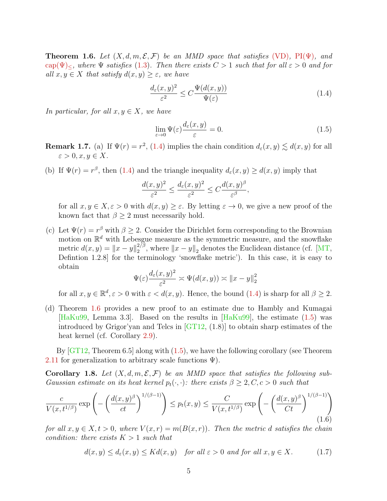<span id="page-4-0"></span>**Theorem 1.6.** Let  $(X, d, m, \mathcal{E}, \mathcal{F})$  be an MMD space that satisfies [\(VD\)](#page-3-0), PI( $\Psi$ ), and cap( $\Psi$ )<, where  $\Psi$  satisfies [\(1.3\)](#page-3-3). Then there exists  $C > 1$  such that for all  $\varepsilon > 0$  and for all  $x, y \in X$  that satisfy  $d(x, y) \geq \varepsilon$ , we have

$$
\frac{d_{\varepsilon}(x,y)^2}{\varepsilon^2} \le C \frac{\Psi(d(x,y))}{\Psi(\varepsilon)}
$$
\n(1.4)

In particular, for all  $x, y \in X$ , we have

<span id="page-4-1"></span>
$$
\lim_{\varepsilon \to 0} \Psi(\varepsilon) \frac{d_{\varepsilon}(x, y)}{\varepsilon} = 0.
$$
\n(1.5)

**Remark 1.7.** (a) If  $\Psi(r) = r^2$ , [\(1.4\)](#page-3-4) implies the chain condition  $d_{\varepsilon}(x, y) \lesssim d(x, y)$  for all  $\varepsilon > 0, x, y \in X.$ 

(b) If  $\Psi(r) = r^{\beta}$ , then [\(1.4\)](#page-3-4) and the triangle inequality  $d_{\varepsilon}(x, y) \ge d(x, y)$  imply that

$$
\frac{d(x,y)^2}{\varepsilon^2} \le \frac{d_{\varepsilon}(x,y)^2}{\varepsilon^2} \le C\frac{d(x,y)^{\beta}}{\varepsilon^{\beta}},
$$

for all  $x, y \in X, \varepsilon > 0$  with  $d(x, y) \ge \varepsilon$ . By letting  $\varepsilon \to 0$ , we give a new proof of the known fact that  $\beta \geq 2$  must necessarily hold.

(c) Let  $\Psi(r) = r^{\beta}$  with  $\beta \geq 2$ . Consider the Dirichlet form corresponding to the Brownian motion on  $\mathbb{R}^d$  with Lebesgue measure as the symmetric measure, and the snowflake metric  $d(x, y) = ||x - y||_2^{2/\beta}$  $\frac{2}{2}$ , where  $||x - y||_2$  denotes the Euclidean distance (cf. [\[MT,](#page-16-2) Defintion 1.2.8] for the terminology 'snowflake metric'). In this case, it is easy to obtain

$$
\Psi(\varepsilon) \frac{d_{\varepsilon}(x, y)^2}{\varepsilon^2} \asymp \Psi(d(x, y)) \asymp ||x - y||_2^2
$$

for all  $x, y \in \mathbb{R}^d, \varepsilon > 0$  with  $\varepsilon < d(x, y)$ . Hence, the bound [\(1.4\)](#page-3-4) is sharp for all  $\beta \geq 2$ .

(d) Theorem [1.6](#page-4-0) provides a new proof to an estimate due to Hambly and Kumagai [\[HaKu99,](#page-16-3) Lemma 3.3]. Based on the results in [\[HaKu99\]](#page-16-3), the estimate [\(1.5\)](#page-4-1) was introduced by Grigor'yan and Telcs in [\[GT12,](#page-16-4) (1.8)] to obtain sharp estimates of the heat kernel (cf. Corollary [2.9\)](#page-12-0).

By  $[GT12, Theorem 6.5]$  along with  $(1.5)$ , we have the following corollary (see Theorem [2.11](#page-13-0) for generalization to arbitrary scale functions  $\Psi$ ).

<span id="page-4-3"></span>**Corollary 1.8.** Let  $(X, d, m, \mathcal{E}, \mathcal{F})$  be an MMD space that satisfies the following sub-Gaussian estimate on its heat kernel  $p_t(\cdot, \cdot)$ : there exists  $\beta \geq 2, C, c > 0$  such that

<span id="page-4-4"></span>
$$
\frac{c}{V(x,t^{1/\beta})} \exp\left(-\left(\frac{d(x,y)^{\beta}}{ct}\right)^{1/(\beta-1)}\right) \le p_t(x,y) \le \frac{C}{V(x,t^{1/\beta})} \exp\left(-\left(\frac{d(x,y)^{\beta}}{Ct}\right)^{1/(\beta-1)}\right)
$$
\n(1.6)

for all  $x, y \in X, t > 0$ , where  $V(x, r) = m(B(x, r))$ . Then the metric d satisfies the chain condition: there exists  $K > 1$  such that

<span id="page-4-2"></span>
$$
d(x, y) \le d_{\varepsilon}(x, y) \le Kd(x, y) \quad \text{for all } \varepsilon > 0 \text{ and for all } x, y \in X. \tag{1.7}
$$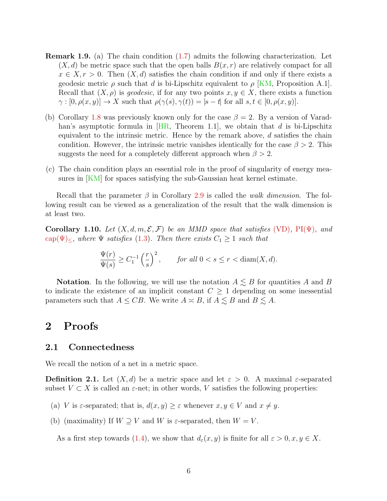- Remark 1.9. (a) The chain condition [\(1.7\)](#page-4-2) admits the following characterization. Let  $(X, d)$  be metric space such that the open balls  $B(x, r)$  are relatively compact for all  $x \in X, r > 0$ . Then  $(X, d)$  satisfies the chain condition if and only if there exists a geodesic metric  $\rho$  such that d is bi-Lipschitz equivalent to  $\rho$  [\[KM,](#page-16-5) Proposition A.1]. Recall that  $(X, \rho)$  is geodesic, if for any two points  $x, y \in X$ , there exists a function  $\gamma : [0, \rho(x, y)] \to X$  such that  $\rho(\gamma(s), \gamma(t)) = |s - t|$  for all  $s, t \in [0, \rho(x, y)]$ .
- (b) Corollary [1.8](#page-4-3) was previously known only for the case  $\beta = 2$ . By a version of Varadhan's asymptotic formula in  $[HR, Theorem 1.1]$ , we obtain that d is bi-Lipschitz equivalent to the intrinsic metric. Hence by the remark above,  $d$  satisfies the chain condition. However, the intrinsic metric vanishes identically for the case  $\beta > 2$ . This suggests the need for a completely different approach when  $\beta > 2$ .
- (c) The chain condition plays an essential role in the proof of singularity of energy measures in  $|KM|$  for spaces satisfying the sub-Gaussian heat kernel estimate.

Recall that the parameter  $\beta$  in Corollary [2.9](#page-12-0) is called the walk dimension. The following result can be viewed as a generalization of the result that the walk dimension is at least two.

<span id="page-5-0"></span>Corollary 1.10. Let  $(X, d, m, \mathcal{E}, \mathcal{F})$  be an MMD space that satisfies [\(VD\)](#page-3-0), PI( $\Psi$ ), and cap( $\Psi$ )  $\leq$ , where  $\Psi$  satisfies [\(1.3\)](#page-3-3). Then there exists  $C_1 \geq 1$  such that

$$
\frac{\Psi(r)}{\Psi(s)} \ge C_1^{-1} \left(\frac{r}{s}\right)^2, \qquad \text{for all } 0 < s \le r < \text{diam}(X, d).
$$

**Notation.** In the following, we will use the notation  $A \leq B$  for quantities A and B to indicate the existence of an implicit constant  $C \geq 1$  depending on some inessential parameters such that  $A \leq CB$ . We write  $A \approx B$ , if  $A \lesssim B$  and  $B \lesssim A$ .

# 2 Proofs

#### 2.1 Connectedness

We recall the notion of a net in a metric space.

**Definition 2.1.** Let  $(X, d)$  be a metric space and let  $\varepsilon > 0$ . A maximal  $\varepsilon$ -separated subset  $V \subset X$  is called an  $\varepsilon$ -net; in other words, V satisfies the following properties:

- (a) V is  $\varepsilon$ -separated; that is,  $d(x, y) \geq \varepsilon$  whenever  $x, y \in V$  and  $x \neq y$ .
- (b) (maximality) If  $W \supseteq V$  and W is  $\varepsilon$ -separated, then  $W = V$ .

As a first step towards [\(1.4\)](#page-3-4), we show that  $d_{\varepsilon}(x, y)$  is finite for all  $\varepsilon > 0, x, y \in X$ .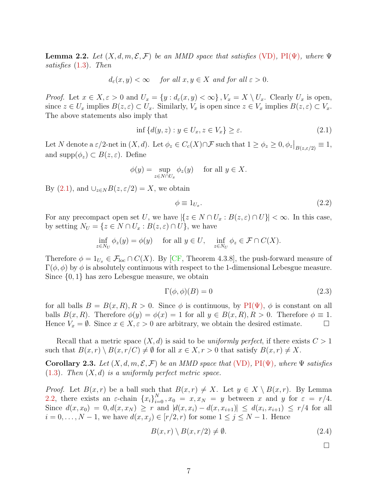<span id="page-6-1"></span>**Lemma 2.2.** Let  $(X, d, m, \mathcal{E}, \mathcal{F})$  be an MMD space that satisfies [\(VD\)](#page-3-0), PI( $\Psi$ ), where  $\Psi$ satisfies [\(1.3\)](#page-3-3). Then

$$
d_{\varepsilon}(x, y) < \infty
$$
 for all  $x, y \in X$  and for all  $\varepsilon > 0$ .

*Proof.* Let  $x \in X, \varepsilon > 0$  and  $U_x = \{y : d_{\varepsilon}(x, y) < \infty\}, V_x = X \setminus U_x$ . Clearly  $U_x$  is open, since  $z \in U_x$  implies  $B(z, \varepsilon) \subset U_x$ . Similarly,  $V_x$  is open since  $z \in V_x$  implies  $B(z, \varepsilon) \subset V_x$ . The above statements also imply that

<span id="page-6-0"></span>
$$
\inf \{ d(y, z) : y \in U_x, z \in V_x \} \ge \varepsilon. \tag{2.1}
$$

Let N denote a  $\varepsilon/2$ -net in  $(X, d)$ . Let  $\phi_z \in C_c(X) \cap \mathcal{F}$  such that  $1 \ge \phi_z \ge 0, \phi_z|_{B(z, \varepsilon/2)} \equiv 1$ , and supp $(\phi_z) \subset B(z, \varepsilon)$ . Define

$$
\phi(y) = \sup_{z \in N \cap U_x} \phi_z(y) \quad \text{ for all } y \in X.
$$

By  $(2.1)$ , and  $\bigcup_{z \in N} B(z, \varepsilon/2) = X$ , we obtain

$$
\phi \equiv 1_{U_x}.\tag{2.2}
$$

For any precompact open set U, we have  $|\{z \in N \cap U_x : B(z, \varepsilon) \cap U\}| < \infty$ . In this case, by setting  $N_U = \{z \in N \cap U_x : B(z, \varepsilon) \cap U\}$ , we have

$$
\inf_{z \in N_U} \phi_z(y) = \phi(y) \quad \text{ for all } y \in U, \quad \inf_{z \in N_U} \phi_z \in \mathcal{F} \cap C(X).
$$

Therefore  $\phi = 1_{U_x} \in \mathcal{F}_{loc} \cap C(X)$ . By [\[CF,](#page-16-1) Theorem 4.3.8], the push-forward measure of  $\Gamma(\phi, \phi)$  by  $\phi$  is absolutely continuous with respect to the 1-dimensional Lebesgue measure. Since {0, 1} has zero Lebesgue measure, we obtain

$$
\Gamma(\phi,\phi)(B) = 0 \tag{2.3}
$$

for all balls  $B = B(x, R), R > 0$ . Since  $\phi$  is continuous, by PI( $\Psi$ ),  $\phi$  is constant on all balls  $B(x, R)$ . Therefore  $\phi(y) = \phi(x) = 1$  for all  $y \in B(x, R)$ ,  $R > 0$ . Therefore  $\phi \equiv 1$ . Hence  $V_x = \emptyset$ . Since  $x \in X, \varepsilon > 0$  are arbitrary, we obtain the desired estimate.

Recall that a metric space  $(X, d)$  is said to be uniformly perfect, if there exists  $C > 1$ such that  $B(x,r) \setminus B(x,r/C) \neq \emptyset$  for all  $x \in X, r > 0$  that satisfy  $B(x,r) \neq X$ .

Corollary 2.3. Let  $(X, d, m, \mathcal{E}, \mathcal{F})$  be an MMD space that [\(VD\)](#page-3-0),  $PI(\Psi)$ , where  $\Psi$  satisfies  $(1.3)$ . Then  $(X, d)$  is a uniformly perfect metric space.

*Proof.* Let  $B(x, r)$  be a ball such that  $B(x, r) \neq X$ . Let  $y \in X \setminus B(x, r)$ . By Lemma [2.2,](#page-6-1) there exists an  $\varepsilon$ -chain  $\{x_i\}_{i=0}^N$ ,  $x_0 = x, x_N = y$  between x and y for  $\varepsilon = r/4$ . Since  $d(x, x_0) = 0, d(x, x_N) \ge r$  and  $|d(x, x_i) - d(x, x_{i+1})| \le d(x_i, x_{i+1}) \le r/4$  for all  $i = 0, \ldots, N - 1$ , we have  $d(x, x_i) \in [r/2, r)$  for some  $1 \leq j \leq N - 1$ . Hence

<span id="page-6-2"></span>
$$
B(x,r) \setminus B(x,r/2) \neq \emptyset. \tag{2.4}
$$

 $\Box$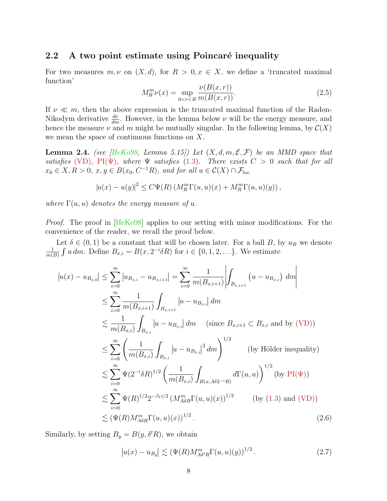#### 2.2 A two point estimate using Poincaré inequality

For two measures  $m, \nu$  on  $(X, d)$ , for  $R > 0, x \in X$ , we define a 'truncated maximal function'

$$
M_R^m \nu(x) = \sup_{0 < r < R} \frac{\nu(B(x, r))}{m(B(x, r))}.\tag{2.5}
$$

If  $\nu \ll m$ , then the above expression is the truncated maximal function of the Radon-Nikodym derivative  $\frac{d\nu}{dm}$ . However, in the lemma below  $\nu$  will be the energy measure, and hence the measure  $\nu$  and m might be mutually singular. In the following lemma, by  $\mathcal{C}(X)$ we mean the space of continuous functions on X.

<span id="page-7-2"></span>**Lemma 2.4.** (see [\[HeKo98,](#page-16-7) Lemma 5.15]) Let  $(X, d, m, \mathcal{E}, \mathcal{F})$  be an MMD space that satisfies [\(VD\)](#page-3-0), PI( $\Psi$ ), where  $\Psi$  satisfies [\(1.3\)](#page-3-3). There exists  $C > 0$  such that for all  $x_0 \in X, R > 0, x, y \in B(x_0, C^{-1}R)$ , and for all  $u \in \mathcal{C}(X) \cap \mathcal{F}_{loc}$ 

$$
|u(x) - u(y)|^2 \leq C\Psi(R) \left( M_R^m \Gamma(u, u)(x) + M_R^m \Gamma(u, u)(y) \right),
$$

where  $\Gamma(u, u)$  denotes the energy measure of u.

Proof. The proof in [\[HeKo98\]](#page-16-7) applies to our setting with minor modifications. For the convenience of the reader, we recall the proof below.

Let  $\delta \in (0,1)$  be a constant that will be chosen later. For a ball B, by  $u_B$  we denote 1  $\frac{1}{m(B)} \int u \, dm$ . Define  $B_{x,i} = B(x, 2^{-i} \delta R)$  for  $i \in \{0, 1, 2, \ldots\}$ . We estimate

$$
|u(x) - u_{B_{x,0}}| \leq \sum_{i=0}^{\infty} |u_{B_{x,i}} - u_{B_{x,i+1}}| = \sum_{i=0}^{\infty} \frac{1}{m(B_{x,i+1})} \left| \int_{B_{x,i+1}} (u - u_{B_{x,i}}) dm \right|
$$
  
\n
$$
\leq \sum_{i=0}^{\infty} \frac{1}{m(B_{x,i+1})} \int_{B_{x,i+1}} |u - u_{B_{x,i}}| dm
$$
  
\n
$$
\leq \frac{1}{m(B_{x,i})} \int_{B_{x,i}} |u - u_{B_{x,i}}| dm \quad \text{(since } B_{x,i+1} \subset B_{x,i} \text{ and by (VD))}
$$
  
\n
$$
\leq \sum_{i=0}^{\infty} \left( \frac{1}{m(B_{x,i})} \int_{B_{x,i}} |u - u_{B_{x,i}}|^2 dm \right)^{1/2} \quad \text{(by Hölder inequality)}
$$
  
\n
$$
\leq \sum_{i=0}^{\infty} \Psi(2^{-i} \delta R)^{1/2} \left( \frac{1}{m(B_{x,i})} \int_{B(x, A\delta 2^{-i}R)} d\Gamma(u, u) \right)^{1/2} \quad \text{(by PI(\Psi))}
$$
  
\n
$$
\leq \sum_{i=0}^{\infty} \Psi(R)^{1/2} 2^{-\beta_1 i/2} (M_{A\delta R}^m \Gamma(u, u)(x))^{1/2} \quad \text{(by (1.3) and (VD))}
$$
  
\n
$$
\leq (\Psi(R) M_{A\delta R}^m \Gamma(u, u)(x))^{1/2}.
$$
 (2.6)

Similarly, by setting  $B_y = B(y, \delta'R)$ , we obtain

<span id="page-7-1"></span><span id="page-7-0"></span>
$$
|u(x) - u_{B_y}| \lesssim (\Psi(R) M_{A\delta'R}^m \Gamma(u, u)(y))^{1/2}.
$$
 (2.7)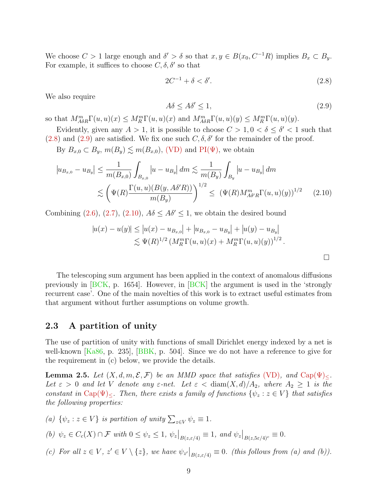We choose  $C > 1$  large enough and  $\delta' > \delta$  so that  $x, y \in B(x_0, C^{-1}R)$  implies  $B_x \subset B_y$ . For example, it suffices to choose  $C, \delta, \delta'$  so that

<span id="page-8-0"></span>
$$
2C^{-1} + \delta < \delta'.\tag{2.8}
$$

We also require

<span id="page-8-2"></span><span id="page-8-1"></span>
$$
A\delta \le A\delta' \le 1,\tag{2.9}
$$

so that  $M_{A\delta R}^{m}\Gamma(u, u)(x) \le M_{R}^{m}\Gamma(u, u)(x)$  and  $M_{A\delta R}^{m}\Gamma(u, u)(y) \le M_{R}^{m}\Gamma(u, u)(y)$ .

Evidently, given any  $A > 1$ , it is possible to choose  $C > 1, 0 < \delta \leq \delta' < 1$  such that  $(2.8)$  and  $(2.9)$  are satisfied. We fix one such  $C, \delta, \delta'$  for the remainder of the proof.

By  $B_{x,0} \subset B_y$ ,  $m(B_y) \lesssim m(B_{x,0})$ , [\(VD\)](#page-3-0) and PI( $\Psi$ ), we obtain

$$
\left| u_{B_{x,0}} - u_{B_y} \right| \le \frac{1}{m(B_{x,0})} \int_{B_{x,0}} |u - u_{B_y}| \, dm \lesssim \frac{1}{m(B_y)} \int_{B_y} |u - u_{B_y}| \, dm
$$
  

$$
\lesssim \left( \Psi(R) \frac{\Gamma(u, u)(B(y, A\delta'R))}{m(B_y)} \right)^{1/2} \le (\Psi(R) M_{A\delta'R}^m \Gamma(u, u)(y))^{1/2} \tag{2.10}
$$

Combining  $(2.6)$ ,  $(2.7)$ ,  $(2.10)$ ,  $A\delta \leq A\delta' \leq 1$ , we obtain the desired bound

$$
|u(x) - u(y)| \le |u(x) - u_{B_{x,0}}| + |u_{B_{x,0}} - u_{B_y}| + |u(y) - u_{B_y}|
$$
  
\$\lesssim \Psi(R)^{1/2} (M\_R^m \Gamma(u, u)(x) + M\_R^m \Gamma(u, u)(y))^{1/2}\$.

The telescoping sum argument has been applied in the context of anomalous diffusions previously in [\[BCK,](#page-15-3) p. 1654]. However, in [\[BCK\]](#page-15-3) the argument is used in the 'strongly recurrent case'. One of the main novelties of this work is to extract useful estimates from that argument without further assumptions on volume growth.

### 2.3 A partition of unity

The use of partition of unity with functions of small Dirichlet energy indexed by a net is well-known [\[Ka86,](#page-16-8) p. 235], [\[BBK,](#page-15-4) p. 504]. Since we do not have a reference to give for the requirement in (c) below, we provide the details.

<span id="page-8-3"></span>**Lemma 2.5.** Let  $(X, d, m, \mathcal{E}, \mathcal{F})$  be an MMD space that satisfies [\(VD\)](#page-3-0), and Cap( $\Psi$ )<. Let  $\varepsilon > 0$  and let V denote any  $\varepsilon$ -net. Let  $\varepsilon < \text{diam}(X,d)/A_2$ , where  $A_2 \geq 1$  is the constant in Cap( $\Psi$ )<. Then, there exists a family of functions  $\{\psi_z : z \in V\}$  that satisfies the following properties:

(a)  $\{\psi_z : z \in V\}$  is partition of unity  $\sum_{z \in V} \psi_z \equiv 1$ . (b)  $\psi_z \in C_c(X) \cap \mathcal{F}$  with  $0 \le \psi_z \le 1$ ,  $\psi_z|_{B(z,\varepsilon/4)} \equiv 1$ , and  $\psi_z|_{B(z,5\varepsilon/4)^c} \equiv 0$ .

(c) For all  $z \in V$ ,  $z' \in V \setminus \{z\}$ , we have  $\psi_{z'}|_{B(z,\varepsilon/4)} \equiv 0$ . (this follows from (a) and (b)).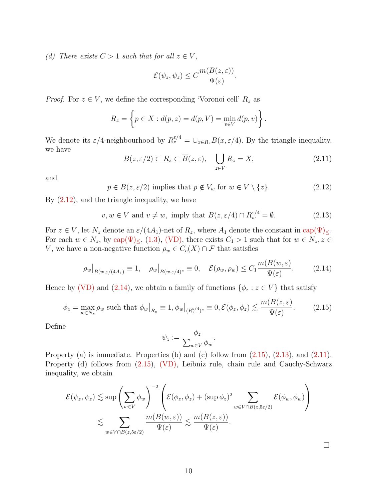(d) There exists  $C > 1$  such that for all  $z \in V$ ,

$$
\mathcal{E}(\psi_z, \psi_z) \le C \frac{m(B(z, \varepsilon))}{\Psi(\varepsilon)}.
$$

*Proof.* For  $z \in V$ , we define the corresponding 'Voronoi cell'  $R_z$  as

$$
R_z = \left\{ p \in X : d(p, z) = d(p, V) = \min_{v \in V} d(p, v) \right\}.
$$

We denote its  $\varepsilon/4$ -neighbourhood by  $R_z^{\varepsilon/4} = \cup_{x \in R_z} B(x, \varepsilon/4)$ . By the triangle inequality, we have

<span id="page-9-4"></span>
$$
B(z,\varepsilon/2) \subset R_z \subset \overline{B}(z,\varepsilon), \quad \bigcup_{z \in V} R_z = X,\tag{2.11}
$$

and

<span id="page-9-0"></span>
$$
p \in B(z, \varepsilon/2) \text{ implies that } p \notin V_w \text{ for } w \in V \setminus \{z\}. \tag{2.12}
$$

By [\(2.12\)](#page-9-0), and the triangle inequality, we have

<span id="page-9-3"></span>
$$
v, w \in V \text{ and } v \neq w, \text{ imply that } B(z, \varepsilon/4) \cap R_w^{\varepsilon/4} = \emptyset. \tag{2.13}
$$

For  $z \in V$ , let  $N_z$  denote an  $\varepsilon/(4A_1)$ -net of  $R_z$ , where  $A_1$  denote the constant in cap $(\Psi)_{\leq}$ . For each  $w \in N_z$ , by cap( $\Psi$ )<sub>≤</sub>, [\(1.3\)](#page-3-3), [\(VD\),](#page-3-0) there exists  $C_1 > 1$  such that for  $w \in N_z$ ,  $z \in$ V, we have a non-negative function  $\rho_w \in C_c(X) \cap \mathcal{F}$  that satisfies

<span id="page-9-1"></span>
$$
\rho_w|_{B(w,\varepsilon/(4A_1)} \equiv 1, \quad \rho_w|_{B(w,\varepsilon/4)^c} \equiv 0, \quad \mathcal{E}(\rho_w, \rho_w) \le C_1 \frac{m(B(w,\varepsilon))}{\Psi(\varepsilon)}.
$$
 (2.14)

Hence by [\(VD\)](#page-3-0) and [\(2.14\)](#page-9-1), we obtain a family of functions  $\{\phi_z : z \in V\}$  that satisfy

<span id="page-9-2"></span>
$$
\phi_z = \max_{w \in N_z} \rho_w \text{ such that } \phi_w\big|_{R_z} \equiv 1, \phi_w\big|_{(R_z^{\varepsilon/4})^c} \equiv 0, \mathcal{E}(\phi_z, \phi_z) \lesssim \frac{m(B(z, \varepsilon))}{\Psi(\varepsilon)}.\tag{2.15}
$$

Define

$$
\psi_z := \frac{\phi_z}{\sum_{w \in V} \phi_w}.
$$

Property (a) is immediate. Properties (b) and (c) follow from  $(2.15)$ ,  $(2.13)$ , and  $(2.11)$ . Property (d) follows from [\(2.15\)](#page-9-2), [\(VD\),](#page-3-0) Leibniz rule, chain rule and Cauchy-Schwarz inequality, we obtain

$$
\mathcal{E}(\psi_z, \psi_z) \lesssim \sup \left( \sum_{w \in V} \phi_w \right)^{-2} \left( \mathcal{E}(\phi_z, \phi_z) + (\sup \phi_z)^2 \sum_{w \in V \cap B(z, 5\varepsilon/2)} \mathcal{E}(\phi_w, \phi_w) \right)
$$
  
\$\lesssim \sum\_{w \in V \cap B(z, 5\varepsilon/2)} \frac{m(B(w, \varepsilon))}{\Psi(\varepsilon)} \lesssim \frac{m(B(z, \varepsilon))}{\Psi(\varepsilon)}.

 $\Box$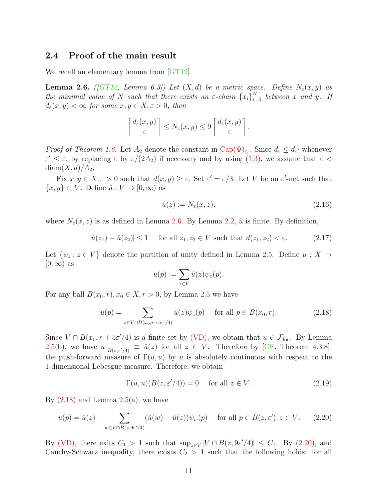### 2.4 Proof of the main result

We recall an elementary lemma from [\[GT12\]](#page-16-4).

<span id="page-10-0"></span>**Lemma 2.6.** ([\[GT12,](#page-16-4) Lemma 6.3]) Let  $(X,d)$  be a metric space. Define  $N_{\varepsilon}(x,y)$  as the minimal value of N such that there exists an  $\varepsilon$ -chain  $\{x_i\}_{i=0}^N$  between x and y. If  $d_{\varepsilon}(x, y) < \infty$  for some  $x, y \in X, \varepsilon > 0$ , then

$$
\left\lceil \frac{d_{\varepsilon}(x,y)}{\varepsilon} \right\rceil \leq N_{\varepsilon}(x,y) \leq 9 \left\lceil \frac{d_{\varepsilon}(x,y)}{\varepsilon} \right\rceil.
$$

*Proof of Theorem [1.6.](#page-4-0)* Let  $A_2$  denote the constant in  $Cap(\Psi)_{\leq}$ . Since  $d_{\varepsilon} \leq d_{\varepsilon'}$  whenever  $\varepsilon' \leq \varepsilon$ , by replacing  $\varepsilon$  by  $\varepsilon/(2A_2)$  if necessary and by using  $(1.3)$ , we assume that  $\varepsilon$  $diam(X, d)/A_2$ .

Fix  $x, y \in X, \varepsilon > 0$  such that  $d(x, y) \ge \varepsilon$ . Set  $\varepsilon' = \varepsilon/3$ . Let V be an  $\varepsilon'$ -net such that  $\{x, y\} \subset V$ . Define  $\hat{u}: V \to [0, \infty)$  as

$$
\hat{u}(z) := N_{\varepsilon}(x, z),\tag{2.16}
$$

where  $N_{\varepsilon}(x, z)$  is as defined in Lemma [2.6.](#page-10-0) By Lemma [2.2,](#page-6-1)  $\hat{u}$  is finite. By definition,

<span id="page-10-3"></span>
$$
|\hat{u}(z_1) - \hat{u}(z_2)| \le 1 \quad \text{for all } z_1, z_2 \in V \text{ such that } d(z_1, z_2) < \varepsilon. \tag{2.17}
$$

Let  $\{\psi_z : z \in V\}$  denote the partition of unity defined in Lemma [2.5.](#page-8-3) Define  $u : X \to Y$  $[0,\infty)$  as

$$
u(p) := \sum_{z \in V} \hat{u}(z) \psi_z(p).
$$

For any ball  $B(x_0, r), x_0 \in X, r > 0$ , by Lemma [2.5](#page-8-3) we have

<span id="page-10-1"></span>
$$
u(p) = \sum_{z \in V \cap B(x_0, r + 5\varepsilon'/4)} \hat{u}(z)\psi_z(p) \quad \text{for all } p \in B(x_0, r). \tag{2.18}
$$

Since  $V \cap B(x_0, r + 5\varepsilon'/4)$  is a finite set by [\(VD\),](#page-3-0) we obtain that  $u \in \mathcal{F}_{loc}$ . By Lemma [2.5\(](#page-8-3)b), we have  $u|_{B(z,\varepsilon'/4)} \equiv \hat{u}(z)$  for all  $z \in V$ . Therefore by [\[CF,](#page-16-1) Theorem 4.3.8], the push-forward measure of  $\Gamma(u, u)$  by u is absolutely continuous with respect to the 1-dimensional Lebesgue measure. Therefore, we obtain

<span id="page-10-4"></span>
$$
\Gamma(u, u)(B(z, \varepsilon'/4)) = 0 \quad \text{for all } z \in V. \tag{2.19}
$$

By  $(2.18)$  and Lemma  $2.5(a)$  $2.5(a)$ , we have

<span id="page-10-2"></span>
$$
u(p) = \hat{u}(z) + \sum_{w \in V \cap B(z, 9\varepsilon'/4)} (\hat{u}(w) - \hat{u}(z))\psi_w(p) \quad \text{for all } p \in B(z, \varepsilon'), z \in V. \tag{2.20}
$$

By [\(VD\),](#page-3-0) there exits  $C_1 > 1$  such that  $\sup_{z \in V} |V \cap B(z, 9\varepsilon'/4)| \leq C_1$ . By [\(2.20\)](#page-10-2), and Cauchy-Schwarz inequality, there exists  $C_2 > 1$  such that the following holds: for all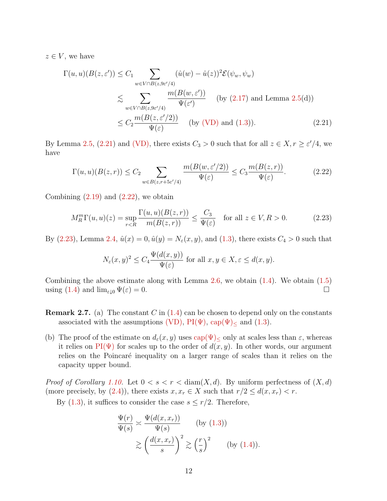$z \in V$ , we have

$$
\Gamma(u, u)(B(z, \varepsilon')) \leq C_1 \sum_{w \in V \cap B(z, 9\varepsilon'/4)} (\hat{u}(w) - \hat{u}(z))^2 \mathcal{E}(\psi_w, \psi_w)
$$
  
\$\lesssim \sum\_{w \in V \cap B(z, 9\varepsilon'/4)} \frac{m(B(w, \varepsilon'))}{\Psi(\varepsilon')} \text{ (by (2.17) and Lemma 2.5(d))}  
\$\leq C\_2 \frac{m(B(z, \varepsilon'/2))}{\Psi(\varepsilon)} \text{ (by (VD) and (1.3))}. \qquad (2.21)\$

By Lemma [2.5,](#page-8-3) [\(2.21\)](#page-11-0) and [\(VD\),](#page-3-0) there exists  $C_3 > 0$  such that for all  $z \in X, r \geq \varepsilon'/4$ , we have

<span id="page-11-1"></span><span id="page-11-0"></span>
$$
\Gamma(u, u)(B(z, r)) \le C_2 \sum_{w \in B(z, r+5\varepsilon'/4)} \frac{m(B(w, \varepsilon'/2))}{\Psi(\varepsilon)} \le C_3 \frac{m(B(z, r))}{\Psi(\varepsilon)}.
$$
\n(2.22)

Combining  $(2.19)$  and  $(2.22)$ , we obtain

<span id="page-11-2"></span>
$$
M_R^m\Gamma(u,u)(z) = \sup_{r < R} \frac{\Gamma(u,u)(B(z,r))}{m(B(z,r))} \le \frac{C_3}{\Psi(\varepsilon)} \quad \text{for all } z \in V, R > 0. \tag{2.23}
$$

By [\(2.23\)](#page-11-2), Lemma [2.4,](#page-7-2)  $\hat{u}(x) = 0, \hat{u}(y) = N_{\epsilon}(x, y)$ , and [\(1.3\)](#page-3-3), there exists  $C_4 > 0$  such that

$$
N_{\varepsilon}(x, y)^2 \le C_4 \frac{\Psi(d(x, y))}{\Psi(\varepsilon)} \text{ for all } x, y \in X, \varepsilon \le d(x, y).
$$

Combining the above estimate along with Lemma [2.6,](#page-10-0) we obtain [\(1.4\)](#page-3-4). We obtain [\(1.5\)](#page-4-1) using  $(1.4)$  and  $\lim_{\varepsilon \downarrow 0} \Psi(\varepsilon) = 0.$ 

- **Remark 2.7.** (a) The constant C in  $(1.4)$  can be chosen to depend only on the constants associated with the assumptions [\(VD\),](#page-3-0)  $PI(\Psi)$ ,  $cap(\Psi)_{\leq}$  and [\(1.3\)](#page-3-3).
- (b) The proof of the estimate on  $d_{\varepsilon}(x, y)$  uses  $\text{cap}(\Psi)_{<}$  only at scales less than  $\varepsilon$ , whereas it relies on PI( $\Psi$ ) for scales up to the order of  $d(x, y)$ . In other words, our argument relies on the Poincaré inequality on a larger range of scales than it relies on the capacity upper bound.

*Proof of Corollary [1.10.](#page-5-0)* Let  $0 < s < r <$  diam $(X, d)$ . By uniform perfectness of  $(X, d)$ (more precisely, by [\(2.4\)](#page-6-2)), there exists  $x, x_r \in X$  such that  $r/2 \leq d(x, x_r) < r$ .

By  $(1.3)$ , it suffices to consider the case  $s \leq r/2$ . Therefore,

$$
\frac{\Psi(r)}{\Psi(s)} \approx \frac{\Psi(d(x, x_r))}{\Psi(s)} \qquad \text{(by (1.3))}
$$
\n
$$
\gtrsim \left(\frac{d(x, x_r)}{s}\right)^2 \gtrsim \left(\frac{r}{s}\right)^2 \qquad \text{(by (1.4))}.
$$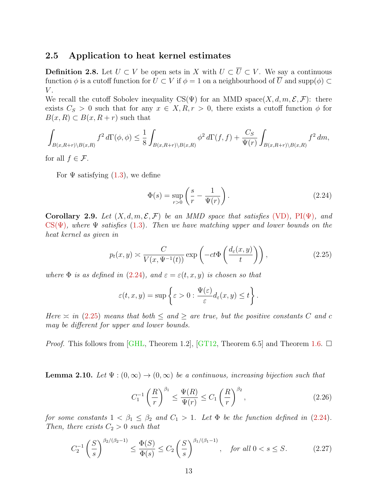### 2.5 Application to heat kernel estimates

**Definition 2.8.** Let  $U \subset V$  be open sets in X with  $U \subset \overline{U} \subset V$ . We say a continuous function  $\phi$  is a cutoff function for  $U \subset V$  if  $\phi = 1$  on a neighbourhood of  $\overline{U}$  and supp( $\phi$ ) ⊂  $V$ .

We recall the cutoff Sobolev inequality  $CS(\Psi)$  for an MMD space(X, d, m,  $\mathcal{E}, \mathcal{F}$ ): there exists  $C_S > 0$  such that for any  $x \in X, R, r > 0$ , there exists a cutoff function  $\phi$  for  $B(x, R) \subset B(x, R+r)$  such that

$$
\int_{B(x,R+r)\backslash B(x,R)} f^2 d\Gamma(\phi,\phi) \leq \frac{1}{8} \int_{B(x,R+r)\backslash B(x,R)} \phi^2 d\Gamma(f,f) + \frac{C_S}{\Psi(r)} \int_{B(x,R+r)\backslash B(x,R)} f^2 dm,
$$

for all  $f \in \mathcal{F}$ .

For  $\Psi$  satisfying  $(1.3)$ , we define

<span id="page-12-2"></span><span id="page-12-1"></span>
$$
\Phi(s) = \sup_{r>0} \left( \frac{s}{r} - \frac{1}{\Psi(r)} \right). \tag{2.24}
$$

<span id="page-12-0"></span>Corollary 2.9. Let  $(X, d, m, \mathcal{E}, \mathcal{F})$  be an MMD space that satisfies [\(VD\)](#page-3-0), PI( $\Psi$ ), and  $CS(\Psi)$ , where  $\Psi$  satisfies [\(1.3\)](#page-3-3). Then we have matching upper and lower bounds on the heat kernel as given in

<span id="page-12-3"></span>
$$
p_t(x,y) \approx \frac{C}{V(x,\Psi^{-1}(t))} \exp\left(-ct\Phi\left(\frac{d_{\varepsilon}(x,y)}{t}\right)\right),\tag{2.25}
$$

where  $\Phi$  is as defined in [\(2.24\)](#page-12-2), and  $\varepsilon = \varepsilon(t, x, y)$  is chosen so that

$$
\varepsilon(t,x,y)=\sup\left\{\varepsilon>0:\frac{\Psi(\varepsilon)}{\varepsilon}d_{\varepsilon}(x,y)\leq t\right\}.
$$

Here  $\approx$  in [\(2.25\)](#page-12-3) means that both  $\leq$  and  $\geq$  are true, but the positive constants C and c may be different for upper and lower bounds.

*Proof.* This follows from [\[GHL,](#page-16-9) Theorem 1.2], [\[GT12,](#page-16-4) Theorem 6.5] and Theorem [1.6.](#page-4-0)  $\Box$ 

<span id="page-12-6"></span>**Lemma 2.10.** Let  $\Psi : (0, \infty) \to (0, \infty)$  be a continuous, increasing bijection such that

<span id="page-12-4"></span>
$$
C_1^{-1} \left(\frac{R}{r}\right)^{\beta_1} \le \frac{\Psi(R)}{\Psi(r)} \le C_1 \left(\frac{R}{r}\right)^{\beta_2},\tag{2.26}
$$

for some constants  $1 < \beta_1 \leq \beta_2$  and  $C_1 > 1$ . Let  $\Phi$  be the function defined in [\(2.24\)](#page-12-2). Then, there exists  $C_2 > 0$  such that

<span id="page-12-5"></span>
$$
C_2^{-1}\left(\frac{S}{s}\right)^{\beta_2/(\beta_2-1)} \le \frac{\Phi(S)}{\Phi(s)} \le C_2 \left(\frac{S}{s}\right)^{\beta_1/(\beta_1-1)}, \quad \text{for all } 0 < s \le S. \tag{2.27}
$$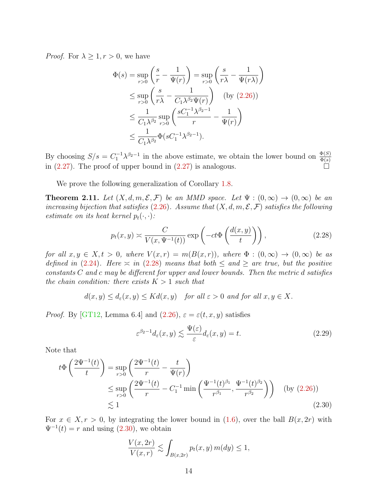*Proof.* For  $\lambda \geq 1, r > 0$ , we have

$$
\Phi(s) = \sup_{r>0} \left( \frac{s}{r} - \frac{1}{\Psi(r)} \right) = \sup_{r>0} \left( \frac{s}{r\lambda} - \frac{1}{\Psi(r\lambda)} \right)
$$
  
\n
$$
\leq \sup_{r>0} \left( \frac{s}{r\lambda} - \frac{1}{C_1\lambda^{\beta_2}\Psi(r)} \right) \quad \text{(by (2.26))}
$$
  
\n
$$
\leq \frac{1}{C_1\lambda^{\beta_2}} \sup_{r>0} \left( \frac{sC_1^{-1}\lambda^{\beta_2 - 1}}{r} - \frac{1}{\Psi(r)} \right)
$$
  
\n
$$
\leq \frac{1}{C_1\lambda^{\beta_2}} \Phi(sC_1^{-1}\lambda^{\beta_2 - 1}).
$$

By choosing  $S/s = C_1^{-1} \lambda^{\beta_2 - 1}$  in the above estimate, we obtain the lower bound on  $\frac{\Phi(S)}{\Phi(s)}$ in  $(2.27)$ . The proof of upper bound in  $(2.27)$  is analogous.

We prove the following generalization of Corollary [1.8.](#page-4-3)

<span id="page-13-0"></span>**Theorem 2.11.** Let  $(X, d, m, \mathcal{E}, \mathcal{F})$  be an MMD space. Let  $\Psi : (0, \infty) \to (0, \infty)$  be an increasing bijection that satisfies [\(2.26\)](#page-12-4). Assume that  $(X, d, m, \mathcal{E}, \mathcal{F})$  satisfies the following estimate on its heat kernel  $p_t(\cdot, \cdot)$ :

<span id="page-13-1"></span>
$$
p_t(x,y) \approx \frac{C}{V(x,\Psi^{-1}(t))} \exp\left(-ct\Phi\left(\frac{d(x,y)}{t}\right)\right),\tag{2.28}
$$

for all  $x, y \in X, t > 0$ , where  $V(x,r) = m(B(x,r))$ , where  $\Phi : (0,\infty) \to (0,\infty)$  be as defined in [\(2.24\)](#page-12-2). Here  $\approx$  in [\(2.28\)](#page-13-1) means that both  $\leq$  and  $\geq$  are true, but the positive  $constants C$  and c may be different for upper and lower bounds. Then the metric d satisfies the chain condition: there exists  $K > 1$  such that

 $d(x, y) \leq d_{\varepsilon}(x, y) \leq K d(x, y)$  for all  $\varepsilon > 0$  and for all  $x, y \in X$ .

*Proof.* By [\[GT12,](#page-16-4) Lemma 6.4] and  $(2.26)$ ,  $\varepsilon = \varepsilon(t, x, y)$  satisfies

<span id="page-13-3"></span><span id="page-13-2"></span>
$$
\varepsilon^{\beta_2 - 1} d_{\varepsilon}(x, y) \lesssim \frac{\Psi(\varepsilon)}{\varepsilon} d_{\varepsilon}(x, y) = t. \tag{2.29}
$$

Note that

$$
t\Phi\left(\frac{2\Psi^{-1}(t)}{t}\right) = \sup_{r>0} \left(\frac{2\Psi^{-1}(t)}{r} - \frac{t}{\Psi(r)}\right)
$$
  
\$\leq \sup\_{r>0} \left(\frac{2\Psi^{-1}(t)}{r} - C\_1^{-1} \min\left(\frac{\Psi^{-1}(t)^{\beta\_1}}{r^{\beta\_1}}, \frac{\Psi^{-1}(t)^{\beta\_2}}{r^{\beta\_2}}\right)\right) \text{ (by (2.26))}   
\$\leq 1\$ (2.30)

For  $x \in X, r > 0$ , by integrating the lower bound in [\(1.6\)](#page-4-4), over the ball  $B(x, 2r)$  with  $\Psi^{-1}(t) = r$  and using  $(2.30)$ , we obtain

$$
\frac{V(x,2r)}{V(x,r)} \lesssim \int_{B(x,2r)} p_t(x,y) m(dy) \le 1,
$$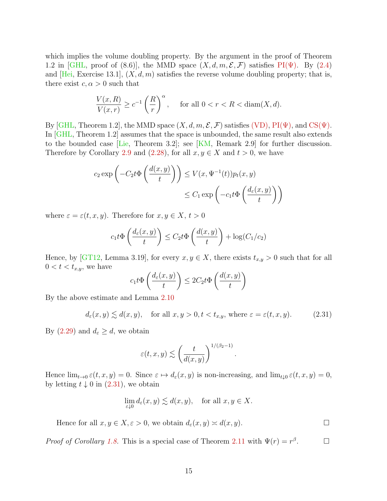which implies the volume doubling property. By the argument in the proof of Theorem 1.2 in [\[GHL,](#page-16-9) proof of (8.6)], the MMD space  $(X, d, m, \mathcal{E}, \mathcal{F})$  satisfies PI( $\Psi$ ). By [\(2.4\)](#page-6-2) and [\[Hei,](#page-16-10) Exercise 13.1],  $(X, d, m)$  satisfies the reverse volume doubling property; that is, there exist  $c, \alpha > 0$  such that

$$
\frac{V(x,R)}{V(x,r)} \ge c^{-1} \left(\frac{R}{r}\right)^{\alpha}, \quad \text{ for all } 0 < r < R < \text{diam}(X,d).
$$

By [\[GHL,](#page-16-9) Theorem 1.2], the MMD space  $(X, d, m, \mathcal{E}, \mathcal{F})$  satisfies [\(VD\),](#page-3-0)  $PI(\Psi)$ , and  $CS(\Psi)$ . In [\[GHL,](#page-16-9) Theorem 1.2] assumes that the space is unbounded, the same result also extends to the bounded case [\[Lie,](#page-16-11) Theorem 3.2]; see [\[KM,](#page-16-5) Remark 2.9] for further discussion. Therefore by Corollary [2.9](#page-12-0) and [\(2.28\)](#page-13-1), for all  $x, y \in X$  and  $t > 0$ , we have

$$
c_2 \exp\left(-C_2 t \Phi\left(\frac{d(x,y)}{t}\right)\right) \le V(x, \Psi^{-1}(t)) p_t(x,y)
$$

$$
\le C_1 \exp\left(-c_1 t \Phi\left(\frac{d_{\varepsilon}(x,y)}{t}\right)\right)
$$

where  $\varepsilon = \varepsilon(t, x, y)$ . Therefore for  $x, y \in X$ ,  $t > 0$ 

$$
c_1 t \Phi\left(\frac{d_{\varepsilon}(x, y)}{t}\right) \le C_2 t \Phi\left(\frac{d(x, y)}{t}\right) + \log(C_1/c_2)
$$

Hence, by [\[GT12,](#page-16-4) Lemma 3.19], for every  $x, y \in X$ , there exists  $t_{x,y} > 0$  such that for all  $0 < t < t_{x,y}$ , we have

$$
c_1 t \Phi\left(\frac{d_{\varepsilon}(x, y)}{t}\right) \le 2C_2 t \Phi\left(\frac{d(x, y)}{t}\right)
$$

By the above estimate and Lemma [2.10](#page-12-6)

<span id="page-14-0"></span>
$$
d_{\varepsilon}(x, y) \lesssim d(x, y), \quad \text{for all } x, y > 0, t < t_{x, y}, \text{ where } \varepsilon = \varepsilon(t, x, y). \tag{2.31}
$$

By  $(2.29)$  and  $d_{\varepsilon} \geq d$ , we obtain

$$
\varepsilon(t,x,y) \lesssim \left(\frac{t}{d(x,y)}\right)^{1/(\beta_2-1)}.
$$

Hence  $\lim_{t\to 0} \varepsilon(t, x, y) = 0$ . Since  $\varepsilon \mapsto d_{\varepsilon}(x, y)$  is non-increasing, and  $\lim_{t\downarrow 0} \varepsilon(t, x, y) = 0$ , by letting  $t \downarrow 0$  in  $(2.31)$ , we obtain

$$
\lim_{\varepsilon \downarrow 0} d_{\varepsilon}(x,y) \lesssim d(x,y), \quad \text{for all } x,y \in X.
$$

Hence for all  $x, y \in X, \varepsilon > 0$ , we obtain  $d_{\varepsilon}(x, y) \approx d(x, y)$ .

*Proof of Corollary [1.8.](#page-4-3)* This is a special case of Theorem [2.11](#page-13-0) with  $\Psi(r) = r^{\beta}$  $\Box$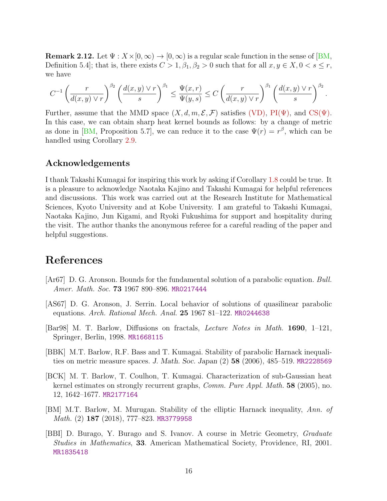**Remark 2.12.** Let  $\Psi: X \times [0, \infty) \to [0, \infty)$  is a regular scale function in the sense of [\[BM,](#page-15-5) Definition 5.4]; that is, there exists  $C > 1, \beta_1, \beta_2 > 0$  such that for all  $x, y \in X, 0 < s \leq r$ , we have

$$
C^{-1}\left(\frac{r}{d(x,y)\vee r}\right)^{\beta_2}\left(\frac{d(x,y)\vee r}{s}\right)^{\beta_1}\leq \frac{\Psi(x,r)}{\Psi(y,s)}\leq C\left(\frac{r}{d(x,y)\vee r}\right)^{\beta_1}\left(\frac{d(x,y)\vee r}{s}\right)^{\beta_2}.
$$

Further, assume that the MMD space  $(X, d, m, \mathcal{E}, \mathcal{F})$  satisfies [\(VD\),](#page-3-0) PI( $\Psi$ ), and CS( $\Psi$ ). In this case, we can obtain sharp heat kernel bounds as follows: by a change of metric as done in [\[BM,](#page-15-5) Proposition 5.7], we can reduce it to the case  $\Psi(r) = r^{\beta}$ , which can be handled using Corollary [2.9.](#page-12-0)

### Acknowledgements

I thank Takashi Kumagai for inspiring this work by asking if Corollary [1.8](#page-4-3) could be true. It is a pleasure to acknowledge Naotaka Kajino and Takashi Kumagai for helpful references and discussions. This work was carried out at the Research Institute for Mathematical Sciences, Kyoto University and at Kobe University. I am grateful to Takashi Kumagai, Naotaka Kajino, Jun Kigami, and Ryoki Fukushima for support and hospitality during the visit. The author thanks the anonymous referee for a careful reading of the paper and helpful suggestions.

# References

- <span id="page-15-0"></span>[Ar67] D. G. Aronson. Bounds for the fundamental solution of a parabolic equation. Bull. Amer. Math. Soc. 73 1967 890–896. [MR0217444](http://www.ams.org/mathscinet-getitem?mr=0217444)
- <span id="page-15-1"></span>[AS67] D. G. Aronson, J. Serrin. Local behavior of solutions of quasilinear parabolic equations. Arch. Rational Mech. Anal. 25 1967 81–122. [MR0244638](http://www.ams.org/mathscinet-getitem?mr=0244638)
- <span id="page-15-2"></span>[Bar98] M. T. Barlow, Diffusions on fractals, Lecture Notes in Math. 1690, 1–121, Springer, Berlin, 1998. [MR1668115](http://www.ams.org/mathscinet-getitem?mr=1668115)
- <span id="page-15-4"></span>[BBK] M.T. Barlow, R.F. Bass and T. Kumagai. Stability of parabolic Harnack inequalities on metric measure spaces. J. Math. Soc. Japan (2) 58 (2006), 485–519. [MR2228569](http://www.ams.org/mathscinet-getitem?mr=2228569)
- <span id="page-15-3"></span>[BCK] M. T. Barlow, T. Coulhon, T. Kumagai. Characterization of sub-Gaussian heat kernel estimates on strongly recurrent graphs, Comm. Pure Appl. Math. 58 (2005), no. 12, 1642–1677. [MR2177164](http://www.ams.org/mathscinet-getitem?mr=2177164)
- <span id="page-15-5"></span>[BM] M.T. Barlow, M. Murugan. Stability of the elliptic Harnack inequality, Ann. of Math. (2) 187 (2018), 777–823. [MR3779958](http://www.ams.org/mathscinet-getitem?mr=3779958)
- [BBI] D. Burago, Y. Burago and S. Ivanov. A course in Metric Geometry, Graduate Studies in Mathematics, 33. American Mathematical Society, Providence, RI, 2001. [MR1835418](http://www.ams.org/mathscinet-getitem?mr=1835418)